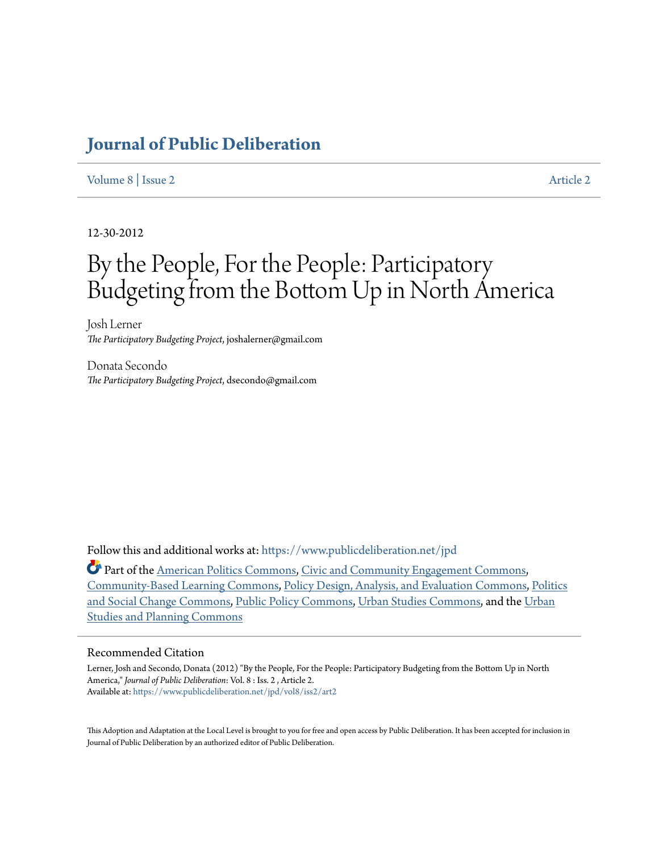## **[Journal of Public Deliberation](https://www.publicdeliberation.net/jpd?utm_source=www.publicdeliberation.net%2Fjpd%2Fvol8%2Fiss2%2Fart2&utm_medium=PDF&utm_campaign=PDFCoverPages)**

#### [Volume 8](https://www.publicdeliberation.net/jpd/vol8?utm_source=www.publicdeliberation.net%2Fjpd%2Fvol8%2Fiss2%2Fart2&utm_medium=PDF&utm_campaign=PDFCoverPages) | [Issue 2](https://www.publicdeliberation.net/jpd/vol8/iss2?utm_source=www.publicdeliberation.net%2Fjpd%2Fvol8%2Fiss2%2Fart2&utm_medium=PDF&utm_campaign=PDFCoverPages) [Article 2](https://www.publicdeliberation.net/jpd/vol8/iss2/art2?utm_source=www.publicdeliberation.net%2Fjpd%2Fvol8%2Fiss2%2Fart2&utm_medium=PDF&utm_campaign=PDFCoverPages) Article 2 Article 2 Article 2 Article 2 Article 2 Article 2 Article 2 Article 2 Article 2 Article 2 Article 2 Article 2 Article 2 Article 2 Article 2 Article 2 Article 2 Article 2 Article 2 Art

12-30-2012

# By the People, For the People: Participatory Budgeting from the Bottom Up in North America

Josh Lerner *The Participatory Budgeting Project*, joshalerner@gmail.com

Donata Secondo *The Participatory Budgeting Project*, dsecondo@gmail.com

Follow this and additional works at: [https://www.publicdeliberation.net/jpd](https://www.publicdeliberation.net/jpd?utm_source=www.publicdeliberation.net%2Fjpd%2Fvol8%2Fiss2%2Fart2&utm_medium=PDF&utm_campaign=PDFCoverPages)

Part of the [American Politics Commons](http://network.bepress.com/hgg/discipline/387?utm_source=www.publicdeliberation.net%2Fjpd%2Fvol8%2Fiss2%2Fart2&utm_medium=PDF&utm_campaign=PDFCoverPages), [Civic and Community Engagement Commons,](http://network.bepress.com/hgg/discipline/1028?utm_source=www.publicdeliberation.net%2Fjpd%2Fvol8%2Fiss2%2Fart2&utm_medium=PDF&utm_campaign=PDFCoverPages) [Community-Based Learning Commons](http://network.bepress.com/hgg/discipline/1046?utm_source=www.publicdeliberation.net%2Fjpd%2Fvol8%2Fiss2%2Fart2&utm_medium=PDF&utm_campaign=PDFCoverPages), [Policy Design, Analysis, and Evaluation Commons,](http://network.bepress.com/hgg/discipline/1032?utm_source=www.publicdeliberation.net%2Fjpd%2Fvol8%2Fiss2%2Fart2&utm_medium=PDF&utm_campaign=PDFCoverPages) [Politics](http://network.bepress.com/hgg/discipline/425?utm_source=www.publicdeliberation.net%2Fjpd%2Fvol8%2Fiss2%2Fart2&utm_medium=PDF&utm_campaign=PDFCoverPages) [and Social Change Commons](http://network.bepress.com/hgg/discipline/425?utm_source=www.publicdeliberation.net%2Fjpd%2Fvol8%2Fiss2%2Fart2&utm_medium=PDF&utm_campaign=PDFCoverPages), [Public Policy Commons,](http://network.bepress.com/hgg/discipline/400?utm_source=www.publicdeliberation.net%2Fjpd%2Fvol8%2Fiss2%2Fart2&utm_medium=PDF&utm_campaign=PDFCoverPages) [Urban Studies Commons,](http://network.bepress.com/hgg/discipline/402?utm_source=www.publicdeliberation.net%2Fjpd%2Fvol8%2Fiss2%2Fart2&utm_medium=PDF&utm_campaign=PDFCoverPages) and the [Urban](http://network.bepress.com/hgg/discipline/436?utm_source=www.publicdeliberation.net%2Fjpd%2Fvol8%2Fiss2%2Fart2&utm_medium=PDF&utm_campaign=PDFCoverPages) [Studies and Planning Commons](http://network.bepress.com/hgg/discipline/436?utm_source=www.publicdeliberation.net%2Fjpd%2Fvol8%2Fiss2%2Fart2&utm_medium=PDF&utm_campaign=PDFCoverPages)

#### Recommended Citation

Lerner, Josh and Secondo, Donata (2012) "By the People, For the People: Participatory Budgeting from the Bottom Up in North America," *Journal of Public Deliberation*: Vol. 8 : Iss. 2 , Article 2. Available at: [https://www.publicdeliberation.net/jpd/vol8/iss2/art2](https://www.publicdeliberation.net/jpd/vol8/iss2/art2?utm_source=www.publicdeliberation.net%2Fjpd%2Fvol8%2Fiss2%2Fart2&utm_medium=PDF&utm_campaign=PDFCoverPages)

This Adoption and Adaptation at the Local Level is brought to you for free and open access by Public Deliberation. It has been accepted for inclusion in Journal of Public Deliberation by an authorized editor of Public Deliberation.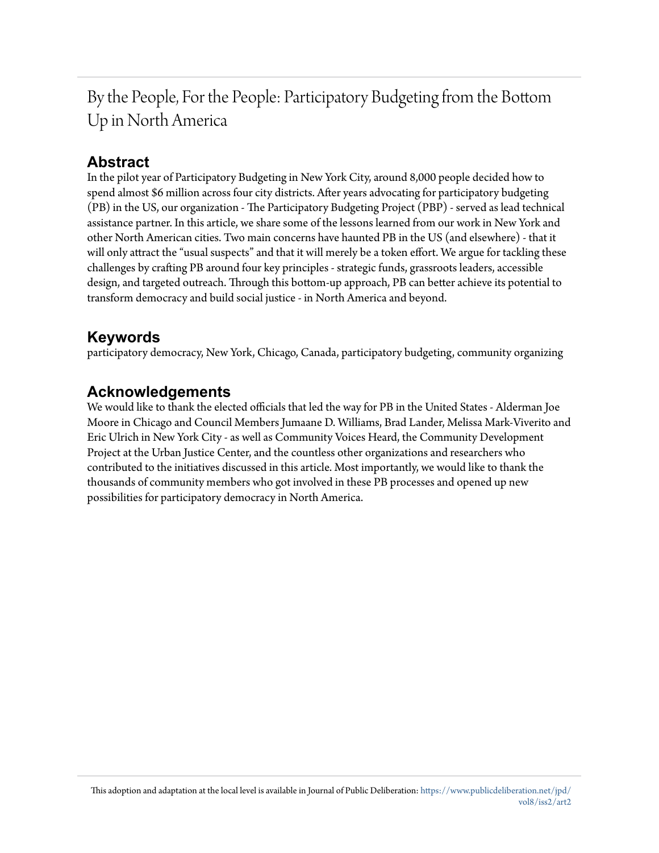By the People, For the People: Participatory Budgeting from the Bottom Up in North America

## **Abstract**

In the pilot year of Participatory Budgeting in New York City, around 8,000 people decided how to spend almost \$6 million across four city districts. After years advocating for participatory budgeting (PB) in the US, our organization - The Participatory Budgeting Project (PBP) - served as lead technical assistance partner. In this article, we share some of the lessons learned from our work in New York and other North American cities. Two main concerns have haunted PB in the US (and elsewhere) - that it will only attract the "usual suspects" and that it will merely be a token effort. We argue for tackling these challenges by crafting PB around four key principles - strategic funds, grassroots leaders, accessible design, and targeted outreach. Through this bottom-up approach, PB can better achieve its potential to transform democracy and build social justice - in North America and beyond.

## **Keywords**

participatory democracy, New York, Chicago, Canada, participatory budgeting, community organizing

### **Acknowledgements**

We would like to thank the elected officials that led the way for PB in the United States - Alderman Joe Moore in Chicago and Council Members Jumaane D. Williams, Brad Lander, Melissa Mark-Viverito and Eric Ulrich in New York City - as well as Community Voices Heard, the Community Development Project at the Urban Justice Center, and the countless other organizations and researchers who contributed to the initiatives discussed in this article. Most importantly, we would like to thank the thousands of community members who got involved in these PB processes and opened up new possibilities for participatory democracy in North America.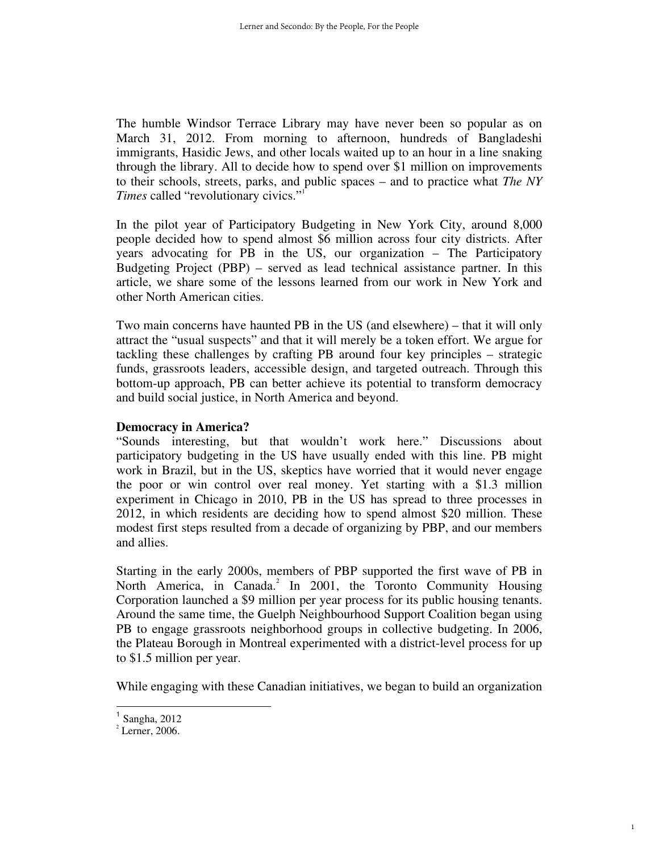The humble Windsor Terrace Library may have never been so popular as on March 31, 2012. From morning to afternoon, hundreds of Bangladeshi immigrants, Hasidic Jews, and other locals waited up to an hour in a line snaking through the library. All to decide how to spend over \$1 million on improvements to their schools, streets, parks, and public spaces – and to practice what *The NY Times* called "revolutionary civics."<sup>1</sup>

In the pilot year of Participatory Budgeting in New York City, around 8,000 people decided how to spend almost \$6 million across four city districts. After years advocating for PB in the US, our organization – The Participatory Budgeting Project (PBP) – served as lead technical assistance partner. In this article, we share some of the lessons learned from our work in New York and other North American cities.

Two main concerns have haunted PB in the US (and elsewhere) – that it will only attract the "usual suspects" and that it will merely be a token effort. We argue for tackling these challenges by crafting PB around four key principles – strategic funds, grassroots leaders, accessible design, and targeted outreach. Through this bottom-up approach, PB can better achieve its potential to transform democracy and build social justice, in North America and beyond.

#### **Democracy in America?**

"Sounds interesting, but that wouldn't work here." Discussions about participatory budgeting in the US have usually ended with this line. PB might work in Brazil, but in the US, skeptics have worried that it would never engage the poor or win control over real money. Yet starting with a \$1.3 million experiment in Chicago in 2010, PB in the US has spread to three processes in 2012, in which residents are deciding how to spend almost \$20 million. These modest first steps resulted from a decade of organizing by PBP, and our members and allies.

Starting in the early 2000s, members of PBP supported the first wave of PB in North America, in Canada.<sup>2</sup> In 2001, the Toronto Community Housing Corporation launched a \$9 million per year process for its public housing tenants. Around the same time, the Guelph Neighbourhood Support Coalition began using PB to engage grassroots neighborhood groups in collective budgeting. In 2006, the Plateau Borough in Montreal experimented with a district-level process for up to \$1.5 million per year.

While engaging with these Canadian initiatives, we began to build an organization

1

l.

<sup>1</sup> Sangha, 2012

 $2$  Lerner, 2006.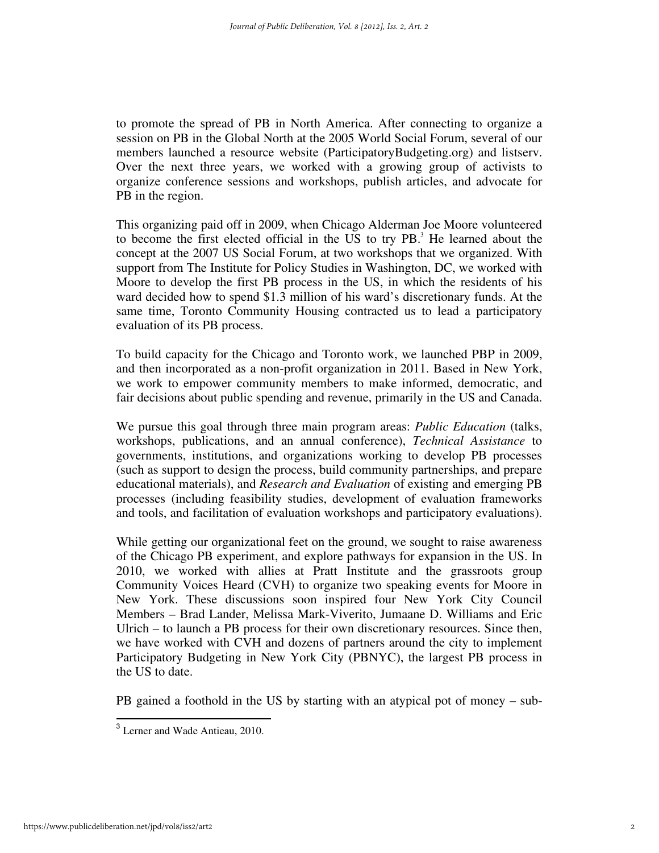to promote the spread of PB in North America. After connecting to organize a session on PB in the Global North at the 2005 World Social Forum, several of our members launched a resource website (ParticipatoryBudgeting.org) and listserv. Over the next three years, we worked with a growing group of activists to organize conference sessions and workshops, publish articles, and advocate for PB in the region.

This organizing paid off in 2009, when Chicago Alderman Joe Moore volunteered to become the first elected official in the US to try  $PB$ .<sup>3</sup> He learned about the concept at the 2007 US Social Forum, at two workshops that we organized. With support from The Institute for Policy Studies in Washington, DC, we worked with Moore to develop the first PB process in the US, in which the residents of his ward decided how to spend \$1.3 million of his ward's discretionary funds. At the same time, Toronto Community Housing contracted us to lead a participatory evaluation of its PB process.

To build capacity for the Chicago and Toronto work, we launched PBP in 2009, and then incorporated as a non-profit organization in 2011. Based in New York, we work to empower community members to make informed, democratic, and fair decisions about public spending and revenue, primarily in the US and Canada.

We pursue this goal through three main program areas: *Public Education* (talks, workshops, publications, and an annual conference), *Technical Assistance* to governments, institutions, and organizations working to develop PB processes (such as support to design the process, build community partnerships, and prepare educational materials), and *Research and Evaluation* of existing and emerging PB processes (including feasibility studies, development of evaluation frameworks and tools, and facilitation of evaluation workshops and participatory evaluations).

While getting our organizational feet on the ground, we sought to raise awareness of the Chicago PB experiment, and explore pathways for expansion in the US. In 2010, we worked with allies at Pratt Institute and the grassroots group Community Voices Heard (CVH) to organize two speaking events for Moore in New York. These discussions soon inspired four New York City Council Members – Brad Lander, Melissa Mark-Viverito, Jumaane D. Williams and Eric Ulrich – to launch a PB process for their own discretionary resources. Since then, we have worked with CVH and dozens of partners around the city to implement Participatory Budgeting in New York City (PBNYC), the largest PB process in the US to date.

PB gained a foothold in the US by starting with an atypical pot of money – sub-

 $\overline{a}$ 

<sup>&</sup>lt;sup>3</sup> Lerner and Wade Antieau, 2010.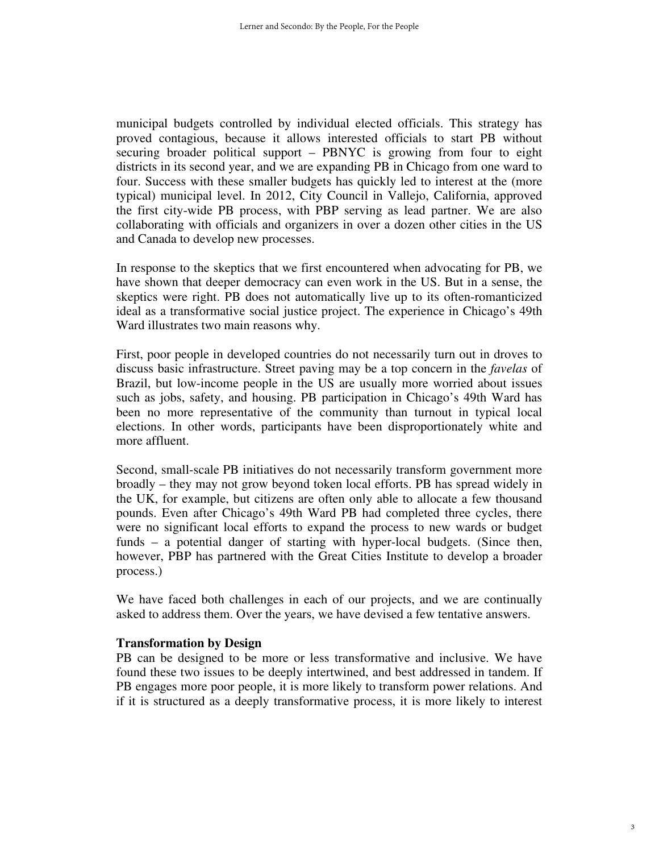municipal budgets controlled by individual elected officials. This strategy has proved contagious, because it allows interested officials to start PB without securing broader political support – PBNYC is growing from four to eight districts in its second year, and we are expanding PB in Chicago from one ward to four. Success with these smaller budgets has quickly led to interest at the (more typical) municipal level. In 2012, City Council in Vallejo, California, approved the first city-wide PB process, with PBP serving as lead partner. We are also collaborating with officials and organizers in over a dozen other cities in the US and Canada to develop new processes.

In response to the skeptics that we first encountered when advocating for PB, we have shown that deeper democracy can even work in the US. But in a sense, the skeptics were right. PB does not automatically live up to its often-romanticized ideal as a transformative social justice project. The experience in Chicago's 49th Ward illustrates two main reasons why.

First, poor people in developed countries do not necessarily turn out in droves to discuss basic infrastructure. Street paving may be a top concern in the *favelas* of Brazil, but low-income people in the US are usually more worried about issues such as jobs, safety, and housing. PB participation in Chicago's 49th Ward has been no more representative of the community than turnout in typical local elections. In other words, participants have been disproportionately white and more affluent.

Second, small-scale PB initiatives do not necessarily transform government more broadly – they may not grow beyond token local efforts. PB has spread widely in the UK, for example, but citizens are often only able to allocate a few thousand pounds. Even after Chicago's 49th Ward PB had completed three cycles, there were no significant local efforts to expand the process to new wards or budget funds – a potential danger of starting with hyper-local budgets. (Since then, however, PBP has partnered with the Great Cities Institute to develop a broader process.)

We have faced both challenges in each of our projects, and we are continually asked to address them. Over the years, we have devised a few tentative answers.

#### **Transformation by Design**

PB can be designed to be more or less transformative and inclusive. We have found these two issues to be deeply intertwined, and best addressed in tandem. If PB engages more poor people, it is more likely to transform power relations. And if it is structured as a deeply transformative process, it is more likely to interest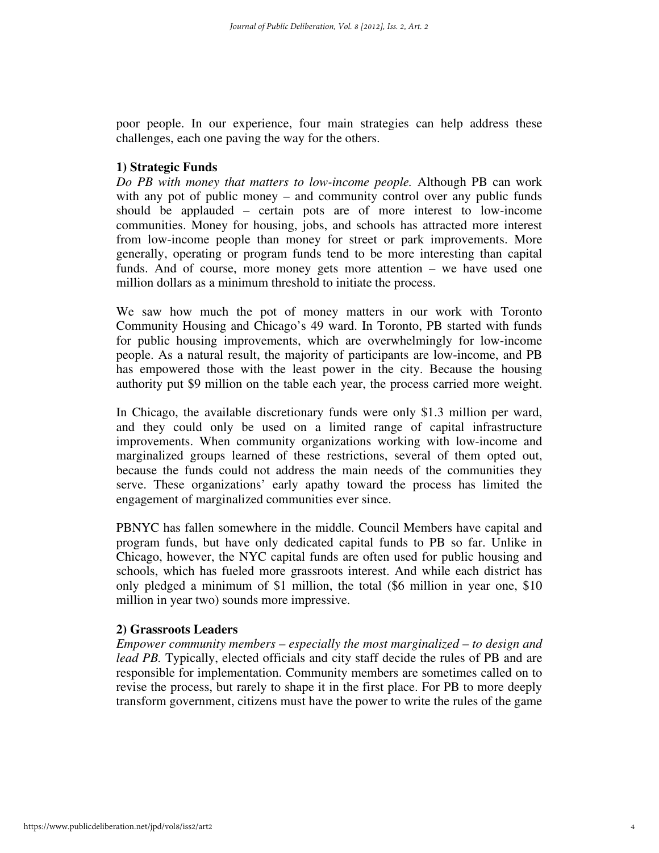poor people. In our experience, four main strategies can help address these challenges, each one paving the way for the others.

#### **1) Strategic Funds**

*Do PB with money that matters to low-income people.* Although PB can work with any pot of public money – and community control over any public funds should be applauded – certain pots are of more interest to low-income communities. Money for housing, jobs, and schools has attracted more interest from low-income people than money for street or park improvements. More generally, operating or program funds tend to be more interesting than capital funds. And of course, more money gets more attention – we have used one million dollars as a minimum threshold to initiate the process.

We saw how much the pot of money matters in our work with Toronto Community Housing and Chicago's 49 ward. In Toronto, PB started with funds for public housing improvements, which are overwhelmingly for low-income people. As a natural result, the majority of participants are low-income, and PB has empowered those with the least power in the city. Because the housing authority put \$9 million on the table each year, the process carried more weight.

In Chicago, the available discretionary funds were only \$1.3 million per ward, and they could only be used on a limited range of capital infrastructure improvements. When community organizations working with low-income and marginalized groups learned of these restrictions, several of them opted out, because the funds could not address the main needs of the communities they serve. These organizations' early apathy toward the process has limited the engagement of marginalized communities ever since.

PBNYC has fallen somewhere in the middle. Council Members have capital and program funds, but have only dedicated capital funds to PB so far. Unlike in Chicago, however, the NYC capital funds are often used for public housing and schools, which has fueled more grassroots interest. And while each district has only pledged a minimum of \$1 million, the total (\$6 million in year one, \$10 million in year two) sounds more impressive.

#### **2) Grassroots Leaders**

*Empower community members – especially the most marginalized – to design and lead PB.* Typically, elected officials and city staff decide the rules of PB and are responsible for implementation. Community members are sometimes called on to revise the process, but rarely to shape it in the first place. For PB to more deeply transform government, citizens must have the power to write the rules of the game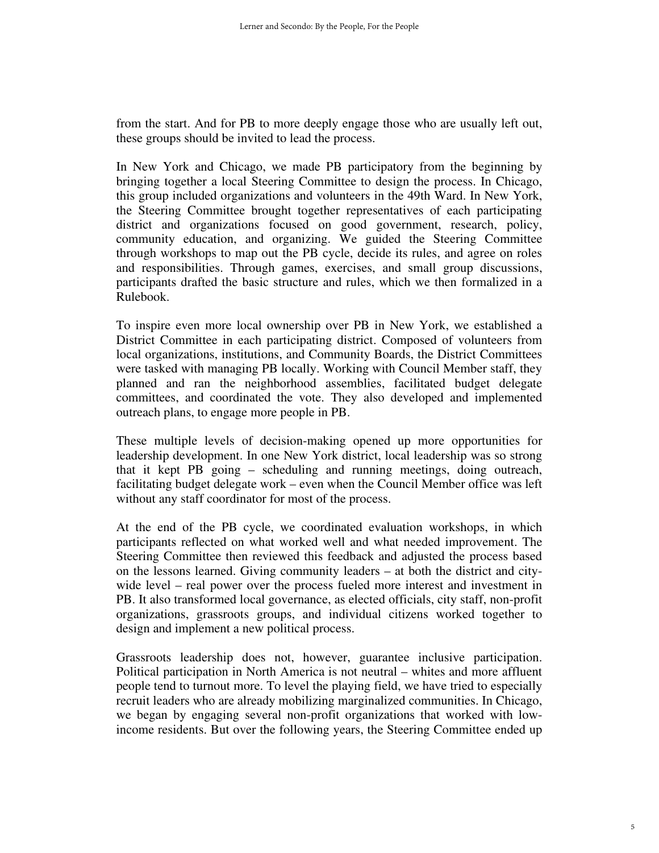from the start. And for PB to more deeply engage those who are usually left out, these groups should be invited to lead the process.

In New York and Chicago, we made PB participatory from the beginning by bringing together a local Steering Committee to design the process. In Chicago, this group included organizations and volunteers in the 49th Ward. In New York, the Steering Committee brought together representatives of each participating district and organizations focused on good government, research, policy, community education, and organizing. We guided the Steering Committee through workshops to map out the PB cycle, decide its rules, and agree on roles and responsibilities. Through games, exercises, and small group discussions, participants drafted the basic structure and rules, which we then formalized in a Rulebook.

To inspire even more local ownership over PB in New York, we established a District Committee in each participating district. Composed of volunteers from local organizations, institutions, and Community Boards, the District Committees were tasked with managing PB locally. Working with Council Member staff, they planned and ran the neighborhood assemblies, facilitated budget delegate committees, and coordinated the vote. They also developed and implemented outreach plans, to engage more people in PB.

These multiple levels of decision-making opened up more opportunities for leadership development. In one New York district, local leadership was so strong that it kept PB going – scheduling and running meetings, doing outreach, facilitating budget delegate work – even when the Council Member office was left without any staff coordinator for most of the process.

At the end of the PB cycle, we coordinated evaluation workshops, in which participants reflected on what worked well and what needed improvement. The Steering Committee then reviewed this feedback and adjusted the process based on the lessons learned. Giving community leaders – at both the district and citywide level – real power over the process fueled more interest and investment in PB. It also transformed local governance, as elected officials, city staff, non-profit organizations, grassroots groups, and individual citizens worked together to design and implement a new political process.

Grassroots leadership does not, however, guarantee inclusive participation. Political participation in North America is not neutral – whites and more affluent people tend to turnout more. To level the playing field, we have tried to especially recruit leaders who are already mobilizing marginalized communities. In Chicago, we began by engaging several non-profit organizations that worked with lowincome residents. But over the following years, the Steering Committee ended up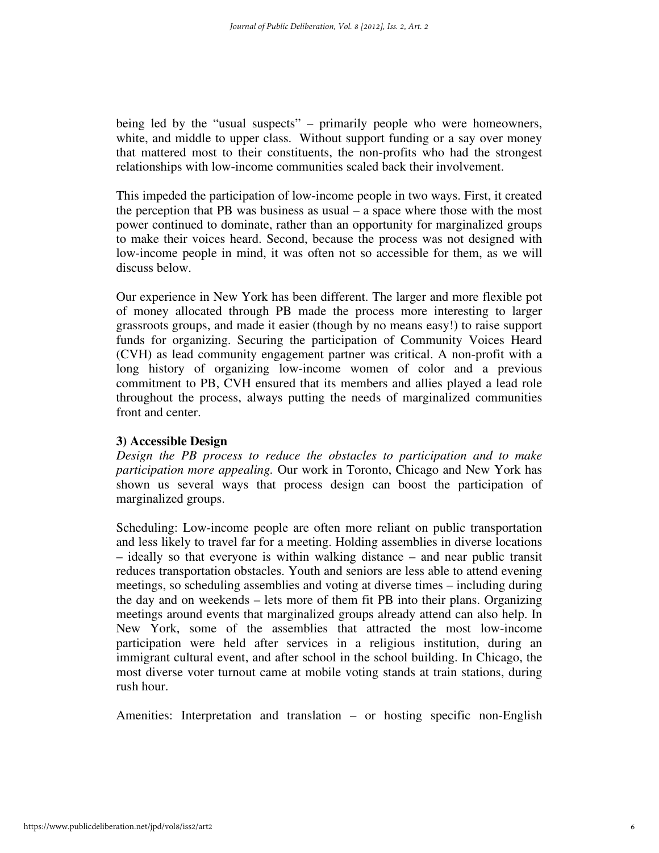being led by the "usual suspects" – primarily people who were homeowners, white, and middle to upper class. Without support funding or a say over money that mattered most to their constituents, the non-profits who had the strongest relationships with low-income communities scaled back their involvement.

This impeded the participation of low-income people in two ways. First, it created the perception that PB was business as usual – a space where those with the most power continued to dominate, rather than an opportunity for marginalized groups to make their voices heard. Second, because the process was not designed with low-income people in mind, it was often not so accessible for them, as we will discuss below.

Our experience in New York has been different. The larger and more flexible pot of money allocated through PB made the process more interesting to larger grassroots groups, and made it easier (though by no means easy!) to raise support funds for organizing. Securing the participation of Community Voices Heard (CVH) as lead community engagement partner was critical. A non-profit with a long history of organizing low-income women of color and a previous commitment to PB, CVH ensured that its members and allies played a lead role throughout the process, always putting the needs of marginalized communities front and center.

#### **3) Accessible Design**

*Design the PB process to reduce the obstacles to participation and to make participation more appealing.* Our work in Toronto, Chicago and New York has shown us several ways that process design can boost the participation of marginalized groups.

Scheduling: Low-income people are often more reliant on public transportation and less likely to travel far for a meeting. Holding assemblies in diverse locations – ideally so that everyone is within walking distance – and near public transit reduces transportation obstacles. Youth and seniors are less able to attend evening meetings, so scheduling assemblies and voting at diverse times – including during the day and on weekends – lets more of them fit PB into their plans. Organizing meetings around events that marginalized groups already attend can also help. In New York, some of the assemblies that attracted the most low-income participation were held after services in a religious institution, during an immigrant cultural event, and after school in the school building. In Chicago, the most diverse voter turnout came at mobile voting stands at train stations, during rush hour.

Amenities: Interpretation and translation – or hosting specific non-English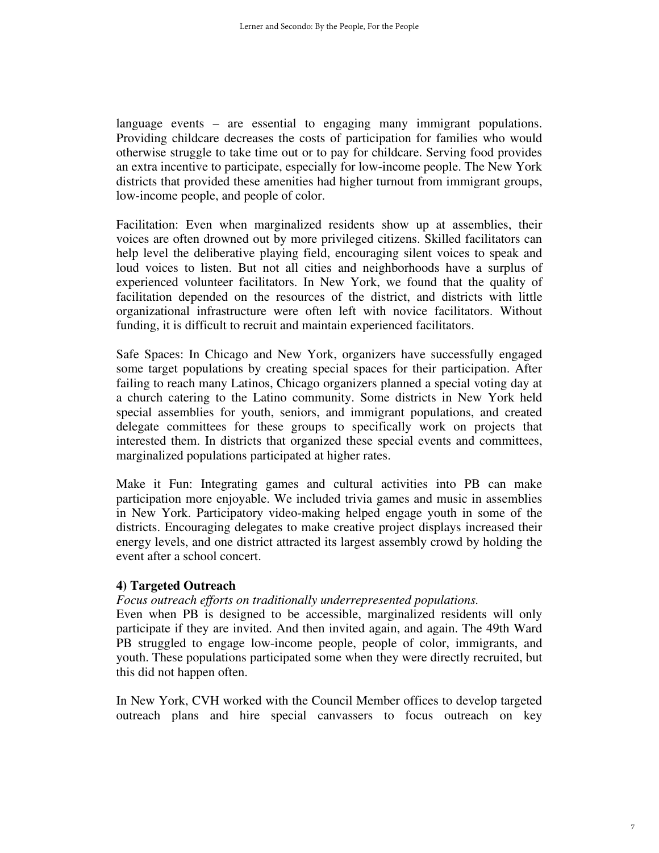language events – are essential to engaging many immigrant populations. Providing childcare decreases the costs of participation for families who would otherwise struggle to take time out or to pay for childcare. Serving food provides an extra incentive to participate, especially for low-income people. The New York districts that provided these amenities had higher turnout from immigrant groups, low-income people, and people of color.

Facilitation: Even when marginalized residents show up at assemblies, their voices are often drowned out by more privileged citizens. Skilled facilitators can help level the deliberative playing field, encouraging silent voices to speak and loud voices to listen. But not all cities and neighborhoods have a surplus of experienced volunteer facilitators. In New York, we found that the quality of facilitation depended on the resources of the district, and districts with little organizational infrastructure were often left with novice facilitators. Without funding, it is difficult to recruit and maintain experienced facilitators.

Safe Spaces: In Chicago and New York, organizers have successfully engaged some target populations by creating special spaces for their participation. After failing to reach many Latinos, Chicago organizers planned a special voting day at a church catering to the Latino community. Some districts in New York held special assemblies for youth, seniors, and immigrant populations, and created delegate committees for these groups to specifically work on projects that interested them. In districts that organized these special events and committees, marginalized populations participated at higher rates.

Make it Fun: Integrating games and cultural activities into PB can make participation more enjoyable. We included trivia games and music in assemblies in New York. Participatory video-making helped engage youth in some of the districts. Encouraging delegates to make creative project displays increased their energy levels, and one district attracted its largest assembly crowd by holding the event after a school concert.

#### **4) Targeted Outreach**

#### *Focus outreach efforts on traditionally underrepresented populations.*

Even when PB is designed to be accessible, marginalized residents will only participate if they are invited. And then invited again, and again. The 49th Ward PB struggled to engage low-income people, people of color, immigrants, and youth. These populations participated some when they were directly recruited, but this did not happen often.

In New York, CVH worked with the Council Member offices to develop targeted outreach plans and hire special canvassers to focus outreach on key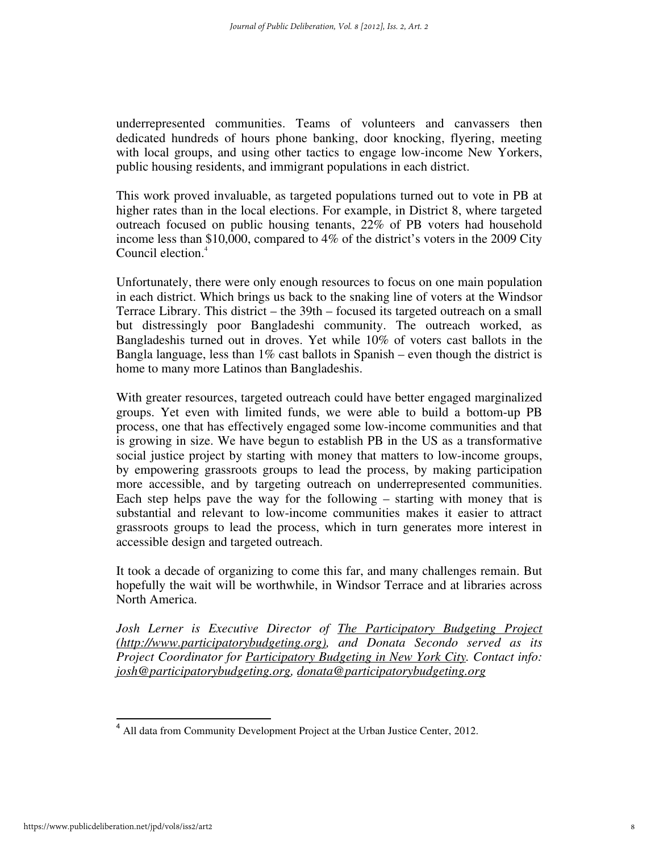underrepresented communities. Teams of volunteers and canvassers then dedicated hundreds of hours phone banking, door knocking, flyering, meeting with local groups, and using other tactics to engage low-income New Yorkers, public housing residents, and immigrant populations in each district.

This work proved invaluable, as targeted populations turned out to vote in PB at higher rates than in the local elections. For example, in District 8, where targeted outreach focused on public housing tenants, 22% of PB voters had household income less than \$10,000, compared to 4% of the district's voters in the 2009 City Council election.<sup>4</sup>

Unfortunately, there were only enough resources to focus on one main population in each district. Which brings us back to the snaking line of voters at the Windsor Terrace Library. This district – the 39th – focused its targeted outreach on a small but distressingly poor Bangladeshi community. The outreach worked, as Bangladeshis turned out in droves. Yet while 10% of voters cast ballots in the Bangla language, less than  $1\%$  cast ballots in Spanish – even though the district is home to many more Latinos than Bangladeshis.

With greater resources, targeted outreach could have better engaged marginalized groups. Yet even with limited funds, we were able to build a bottom-up PB process, one that has effectively engaged some low-income communities and that is growing in size. We have begun to establish PB in the US as a transformative social justice project by starting with money that matters to low-income groups, by empowering grassroots groups to lead the process, by making participation more accessible, and by targeting outreach on underrepresented communities. Each step helps pave the way for the following – starting with money that is substantial and relevant to low-income communities makes it easier to attract grassroots groups to lead the process, which in turn generates more interest in accessible design and targeted outreach.

It took a decade of organizing to come this far, and many challenges remain. But hopefully the wait will be worthwhile, in Windsor Terrace and at libraries across North America.

*Josh Lerner is Executive Director of The Participatory Budgeting Project (http://www.participatorybudgeting.org), and Donata Secondo served as its Project Coordinator for Participatory Budgeting in New York City. Contact info: josh@participatorybudgeting.org, donata@participatorybudgeting.org*

l.

<sup>&</sup>lt;sup>4</sup> All data from Community Development Project at the Urban Justice Center, 2012.